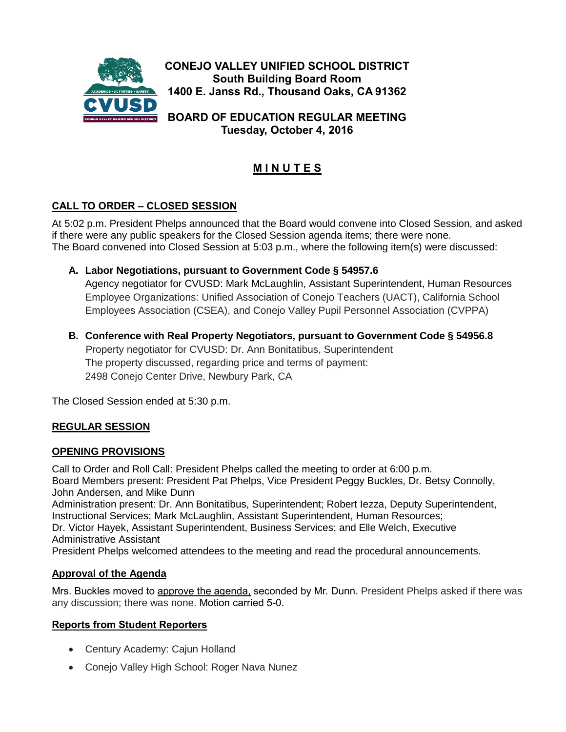

**Tuesday, October 4, 2016**

# **M I N U T E S**

## **CALL TO ORDER – CLOSED SESSION**

At 5:02 p.m. President Phelps announced that the Board would convene into Closed Session, and asked if there were any public speakers for the Closed Session agenda items; there were none. The Board convened into Closed Session at 5:03 p.m., where the following item(s) were discussed:

### **A. Labor Negotiations, pursuant to Government Code § 54957.6**

Agency negotiator for CVUSD: Mark McLaughlin, Assistant Superintendent, Human Resources Employee Organizations: Unified Association of Conejo Teachers (UACT), California School Employees Association (CSEA), and Conejo Valley Pupil Personnel Association (CVPPA)

### **B. Conference with Real Property Negotiators, pursuant to Government Code § 54956.8**

 Property negotiator for CVUSD: Dr. Ann Bonitatibus, Superintendent The property discussed, regarding price and terms of payment: 2498 Conejo Center Drive, Newbury Park, CA

The Closed Session ended at 5:30 p.m.

### **REGULAR SESSION**

#### **OPENING PROVISIONS**

Call to Order and Roll Call: President Phelps called the meeting to order at 6:00 p.m. Board Members present: President Pat Phelps, Vice President Peggy Buckles, Dr. Betsy Connolly, John Andersen, and Mike Dunn Administration present: Dr. Ann Bonitatibus, Superintendent; Robert Iezza, Deputy Superintendent, Instructional Services; Mark McLaughlin, Assistant Superintendent, Human Resources; Dr. Victor Hayek, Assistant Superintendent, Business Services; and Elle Welch, Executive Administrative Assistant

President Phelps welcomed attendees to the meeting and read the procedural announcements.

### **Approval of the Agenda**

Mrs. Buckles moved to approve the agenda, seconded by Mr. Dunn. President Phelps asked if there was any discussion; there was none. Motion carried 5-0.

#### **Reports from Student Reporters**

- Century Academy: Cajun Holland
- Conejo Valley High School: Roger Nava Nunez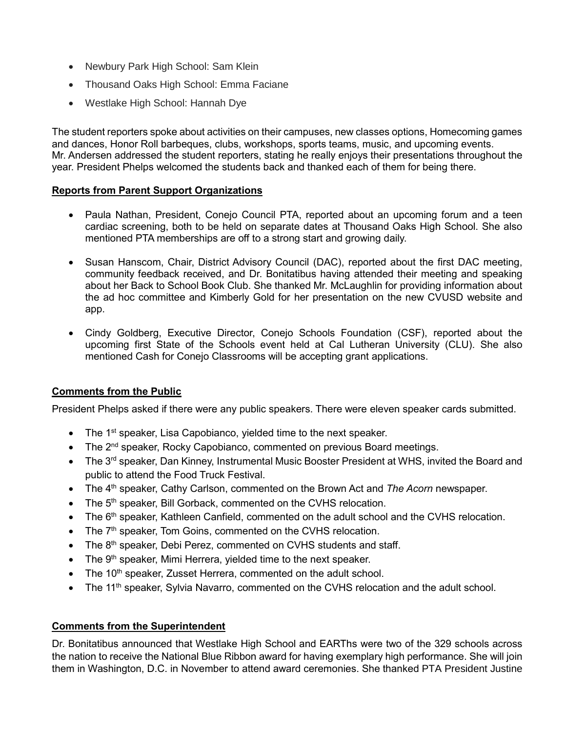- Newbury Park High School: Sam Klein
- Thousand Oaks High School: Emma Faciane
- Westlake High School: Hannah Dye

The student reporters spoke about activities on their campuses, new classes options, Homecoming games and dances, Honor Roll barbeques, clubs, workshops, sports teams, music, and upcoming events. Mr. Andersen addressed the student reporters, stating he really enjoys their presentations throughout the year. President Phelps welcomed the students back and thanked each of them for being there.

#### **Reports from Parent Support Organizations**

- Paula Nathan, President, Conejo Council PTA, reported about an upcoming forum and a teen cardiac screening, both to be held on separate dates at Thousand Oaks High School. She also mentioned PTA memberships are off to a strong start and growing daily.
- Susan Hanscom, Chair, District Advisory Council (DAC), reported about the first DAC meeting, community feedback received, and Dr. Bonitatibus having attended their meeting and speaking about her Back to School Book Club. She thanked Mr. McLaughlin for providing information about the ad hoc committee and Kimberly Gold for her presentation on the new CVUSD website and app.
- Cindy Goldberg, Executive Director, Conejo Schools Foundation (CSF), reported about the upcoming first State of the Schools event held at Cal Lutheran University (CLU). She also mentioned Cash for Conejo Classrooms will be accepting grant applications.

#### **Comments from the Public**

President Phelps asked if there were any public speakers. There were eleven speaker cards submitted.

- $\bullet$  The 1<sup>st</sup> speaker, Lisa Capobianco, yielded time to the next speaker.
- The 2<sup>nd</sup> speaker, Rocky Capobianco, commented on previous Board meetings.
- The 3<sup>rd</sup> speaker, Dan Kinney, Instrumental Music Booster President at WHS, invited the Board and public to attend the Food Truck Festival.
- The 4<sup>th</sup> speaker, Cathy Carlson, commented on the Brown Act and *The Acorn* newspaper.
- The 5<sup>th</sup> speaker, Bill Gorback, commented on the CVHS relocation.
- $\bullet$  The 6<sup>th</sup> speaker, Kathleen Canfield, commented on the adult school and the CVHS relocation.
- $\bullet$  The  $7<sup>th</sup>$  speaker, Tom Goins, commented on the CVHS relocation.
- $\bullet$  The 8<sup>th</sup> speaker, Debi Perez, commented on CVHS students and staff.
- $\bullet$  The 9<sup>th</sup> speaker, Mimi Herrera, yielded time to the next speaker.
- The 10<sup>th</sup> speaker, Zusset Herrera, commented on the adult school.
- The 11<sup>th</sup> speaker, Sylvia Navarro, commented on the CVHS relocation and the adult school.

#### **Comments from the Superintendent**

Dr. Bonitatibus announced that Westlake High School and EARThs were two of the 329 schools across the nation to receive the National Blue Ribbon award for having exemplary high performance. She will join them in Washington, D.C. in November to attend award ceremonies. She thanked PTA President Justine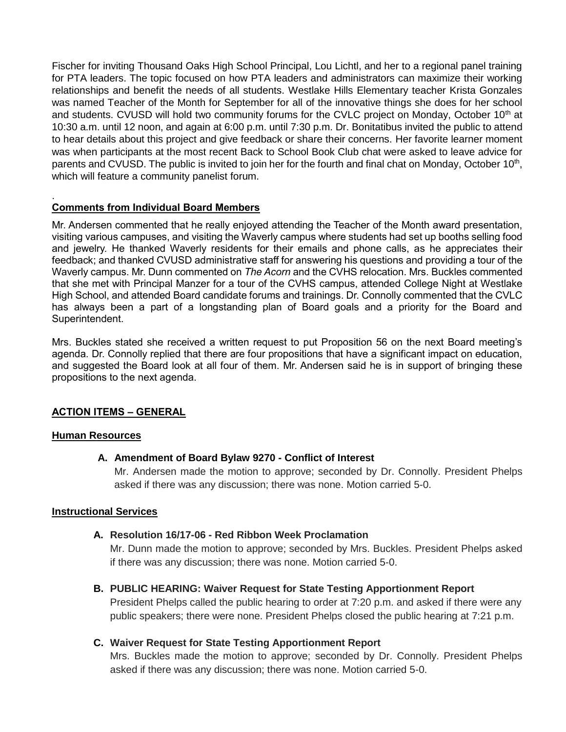Fischer for inviting Thousand Oaks High School Principal, Lou Lichtl, and her to a regional panel training for PTA leaders. The topic focused on how PTA leaders and administrators can maximize their working relationships and benefit the needs of all students. Westlake Hills Elementary teacher Krista Gonzales was named Teacher of the Month for September for all of the innovative things she does for her school and students. CVUSD will hold two community forums for the CVLC project on Monday, October 10<sup>th</sup> at 10:30 a.m. until 12 noon, and again at 6:00 p.m. until 7:30 p.m. Dr. Bonitatibus invited the public to attend to hear details about this project and give feedback or share their concerns. Her favorite learner moment was when participants at the most recent Back to School Book Club chat were asked to leave advice for parents and CVUSD. The public is invited to join her for the fourth and final chat on Monday, October 10<sup>th</sup>, which will feature a community panelist forum.

#### . **Comments from Individual Board Members**

Mr. Andersen commented that he really enjoyed attending the Teacher of the Month award presentation, visiting various campuses, and visiting the Waverly campus where students had set up booths selling food and jewelry. He thanked Waverly residents for their emails and phone calls, as he appreciates their feedback; and thanked CVUSD administrative staff for answering his questions and providing a tour of the Waverly campus. Mr. Dunn commented on *The Acorn* and the CVHS relocation. Mrs. Buckles commented that she met with Principal Manzer for a tour of the CVHS campus, attended College Night at Westlake High School, and attended Board candidate forums and trainings. Dr. Connolly commented that the CVLC has always been a part of a longstanding plan of Board goals and a priority for the Board and Superintendent.

Mrs. Buckles stated she received a written request to put Proposition 56 on the next Board meeting's agenda. Dr. Connolly replied that there are four propositions that have a significant impact on education, and suggested the Board look at all four of them. Mr. Andersen said he is in support of bringing these propositions to the next agenda.

#### **ACTION ITEMS – GENERAL**

#### **Human Resources**

#### **A. Amendment of Board Bylaw 9270 - Conflict of Interest**

Mr. Andersen made the motion to approve; seconded by Dr. Connolly. President Phelps asked if there was any discussion; there was none. Motion carried 5-0.

#### **Instructional Services**

#### **A. Resolution 16/17-06 - Red Ribbon Week Proclamation**

Mr. Dunn made the motion to approve; seconded by Mrs. Buckles. President Phelps asked if there was any discussion; there was none. Motion carried 5-0.

#### **B. PUBLIC HEARING: Waiver Request for State Testing Apportionment Report**

President Phelps called the public hearing to order at 7:20 p.m. and asked if there were any public speakers; there were none. President Phelps closed the public hearing at 7:21 p.m.

#### **C. Waiver Request for State Testing Apportionment Report**

Mrs. Buckles made the motion to approve; seconded by Dr. Connolly. President Phelps asked if there was any discussion; there was none. Motion carried 5-0.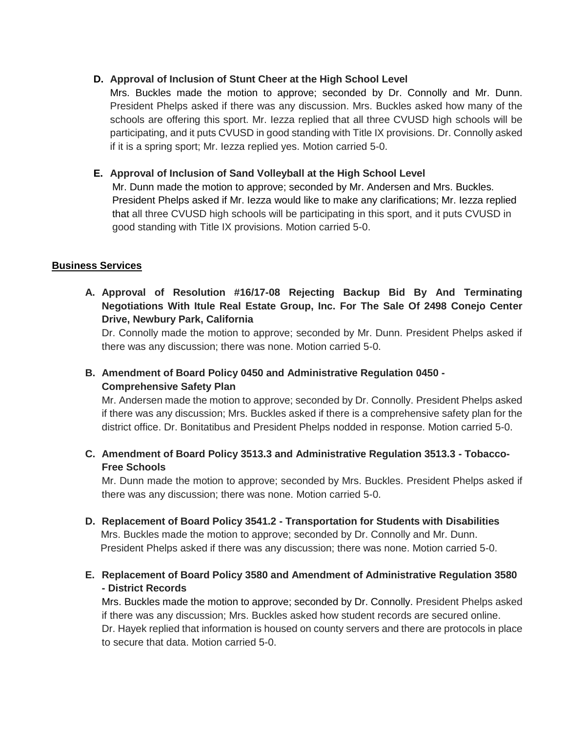### **D. Approval of Inclusion of Stunt Cheer at the High School Level**

Mrs. Buckles made the motion to approve; seconded by Dr. Connolly and Mr. Dunn. President Phelps asked if there was any discussion. Mrs. Buckles asked how many of the schools are offering this sport. Mr. Iezza replied that all three CVUSD high schools will be participating, and it puts CVUSD in good standing with Title IX provisions. Dr. Connolly asked if it is a spring sport; Mr. Iezza replied yes. Motion carried 5-0.

### **E. Approval of Inclusion of Sand Volleyball at the High School Level**

Mr. Dunn made the motion to approve; seconded by Mr. Andersen and Mrs. Buckles. President Phelps asked if Mr. Iezza would like to make any clarifications; Mr. Iezza replied that all three CVUSD high schools will be participating in this sport, and it puts CVUSD in good standing with Title IX provisions. Motion carried 5-0.

### **Business Services**

**A. Approval of Resolution #16/17-08 Rejecting Backup Bid By And Terminating Negotiations With Itule Real Estate Group, Inc. For The Sale Of 2498 Conejo Center Drive, Newbury Park, California**

Dr. Connolly made the motion to approve; seconded by Mr. Dunn. President Phelps asked if there was any discussion; there was none. Motion carried 5-0.

# **B. Amendment of Board Policy 0450 and Administrative Regulation 0450 - Comprehensive Safety Plan**

Mr. Andersen made the motion to approve; seconded by Dr. Connolly. President Phelps asked if there was any discussion; Mrs. Buckles asked if there is a comprehensive safety plan for the district office. Dr. Bonitatibus and President Phelps nodded in response. Motion carried 5-0.

**C. Amendment of Board Policy 3513.3 and Administrative Regulation 3513.3 - Tobacco-Free Schools**

Mr. Dunn made the motion to approve; seconded by Mrs. Buckles. President Phelps asked if there was any discussion; there was none. Motion carried 5-0.

**D. Replacement of Board Policy 3541.2 - Transportation for Students with Disabilities** Mrs. Buckles made the motion to approve; seconded by Dr. Connolly and Mr. Dunn. President Phelps asked if there was any discussion; there was none. Motion carried 5-0.

## **E. Replacement of Board Policy 3580 and Amendment of Administrative Regulation 3580 - District Records**

Mrs. Buckles made the motion to approve; seconded by Dr. Connolly. President Phelps asked if there was any discussion; Mrs. Buckles asked how student records are secured online. Dr. Hayek replied that information is housed on county servers and there are protocols in place to secure that data. Motion carried 5-0.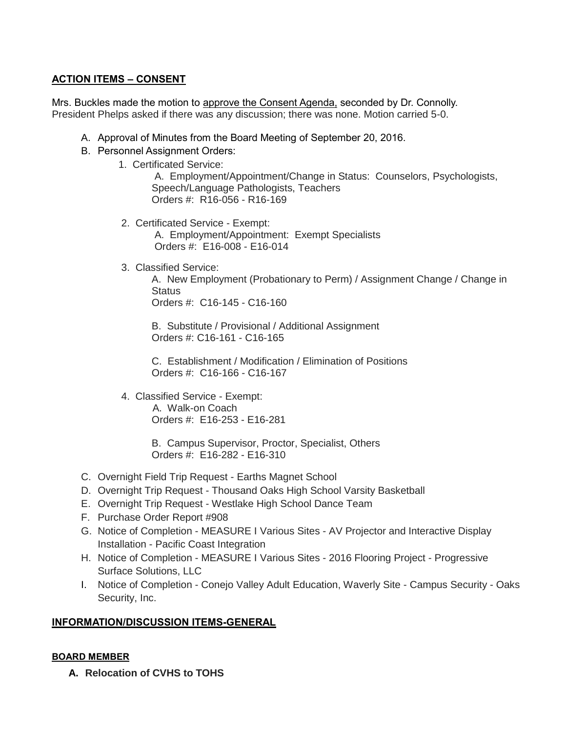## **ACTION ITEMS – CONSENT**

Mrs. Buckles made the motion to approve the Consent Agenda, seconded by Dr. Connolly. President Phelps asked if there was any discussion; there was none. Motion carried 5-0.

- A. Approval of Minutes from the Board Meeting of September 20, 2016.
- B. Personnel Assignment Orders:
	- 1. Certificated Service:

 A. Employment/Appointment/Change in Status: Counselors, Psychologists, Speech/Language Pathologists, Teachers Orders #: R16-056 - R16-169

2. Certificated Service - Exempt:

 A. Employment/Appointment: Exempt Specialists Orders #: E16-008 - E16-014

3. Classified Service:

A. New Employment (Probationary to Perm) / Assignment Change / Change in **Status** Orders #: C16-145 - C16-160

 B. Substitute / Provisional / Additional Assignment Orders #: C16-161 - C16-165

 C. Establishment / Modification / Elimination of Positions Orders #: C16-166 - C16-167

4. Classified Service - Exempt: A. Walk-on Coach Orders #: E16-253 - E16-281

> B. Campus Supervisor, Proctor, Specialist, Others Orders #: E16-282 - E16-310

- C. Overnight Field Trip Request Earths Magnet School
- D. Overnight Trip Request Thousand Oaks High School Varsity Basketball
- E. Overnight Trip Request Westlake High School Dance Team
- F. Purchase Order Report #908
- G. Notice of Completion MEASURE I Various Sites AV Projector and Interactive Display Installation - Pacific Coast Integration
- H. Notice of Completion MEASURE I Various Sites 2016 Flooring Project Progressive Surface Solutions, LLC
- I. Notice of Completion Conejo Valley Adult Education, Waverly Site Campus Security Oaks Security, Inc.

#### **INFORMATION/DISCUSSION ITEMS-GENERAL**

#### **BOARD MEMBER**

**A. Relocation of CVHS to TOHS**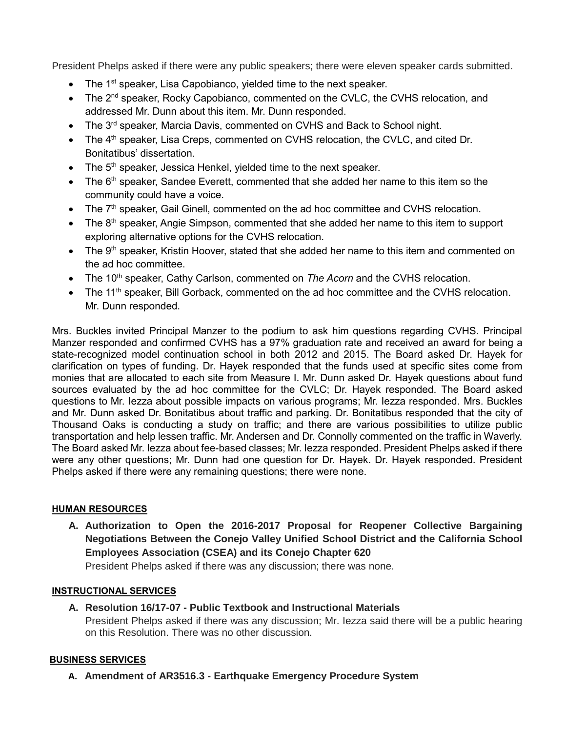President Phelps asked if there were any public speakers; there were eleven speaker cards submitted.

- $\bullet$  The 1<sup>st</sup> speaker, Lisa Capobianco, yielded time to the next speaker.
- The 2<sup>nd</sup> speaker, Rocky Capobianco, commented on the CVLC, the CVHS relocation, and addressed Mr. Dunn about this item. Mr. Dunn responded.
- $\bullet$  The 3<sup>rd</sup> speaker, Marcia Davis, commented on CVHS and Back to School night.
- $\bullet$  The 4<sup>th</sup> speaker, Lisa Creps, commented on CVHS relocation, the CVLC, and cited Dr. Bonitatibus' dissertation.
- $\bullet$  The 5<sup>th</sup> speaker, Jessica Henkel, yielded time to the next speaker.
- $\bullet$  The 6<sup>th</sup> speaker, Sandee Everett, commented that she added her name to this item so the community could have a voice.
- The 7<sup>th</sup> speaker, Gail Ginell, commented on the ad hoc committee and CVHS relocation.
- $\bullet$  The 8<sup>th</sup> speaker, Angie Simpson, commented that she added her name to this item to support exploring alternative options for the CVHS relocation.
- $\bullet$  The 9<sup>th</sup> speaker, Kristin Hoover, stated that she added her name to this item and commented on the ad hoc committee.
- The 10<sup>th</sup> speaker, Cathy Carlson, commented on *The Acorn* and the CVHS relocation.
- The 11<sup>th</sup> speaker, Bill Gorback, commented on the ad hoc committee and the CVHS relocation. Mr. Dunn responded.

Mrs. Buckles invited Principal Manzer to the podium to ask him questions regarding CVHS. Principal Manzer responded and confirmed CVHS has a 97% graduation rate and received an award for being a state-recognized model continuation school in both 2012 and 2015. The Board asked Dr. Hayek for clarification on types of funding. Dr. Hayek responded that the funds used at specific sites come from monies that are allocated to each site from Measure I. Mr. Dunn asked Dr. Hayek questions about fund sources evaluated by the ad hoc committee for the CVLC; Dr. Hayek responded. The Board asked questions to Mr. Iezza about possible impacts on various programs; Mr. Iezza responded. Mrs. Buckles and Mr. Dunn asked Dr. Bonitatibus about traffic and parking. Dr. Bonitatibus responded that the city of Thousand Oaks is conducting a study on traffic; and there are various possibilities to utilize public transportation and help lessen traffic. Mr. Andersen and Dr. Connolly commented on the traffic in Waverly. The Board asked Mr. Iezza about fee-based classes; Mr. Iezza responded. President Phelps asked if there were any other questions; Mr. Dunn had one question for Dr. Hayek. Dr. Hayek responded. President Phelps asked if there were any remaining questions; there were none.

### **HUMAN RESOURCES**

**A. Authorization to Open the 2016-2017 Proposal for Reopener Collective Bargaining Negotiations Between the Conejo Valley Unified School District and the California School Employees Association (CSEA) and its Conejo Chapter 620**

President Phelps asked if there was any discussion; there was none.

#### **INSTRUCTIONAL SERVICES**

**A. Resolution 16/17-07 - Public Textbook and Instructional Materials** President Phelps asked if there was any discussion; Mr. Iezza said there will be a public hearing on this Resolution. There was no other discussion.

### **BUSINESS SERVICES**

**A. Amendment of AR3516.3 - Earthquake Emergency Procedure System**